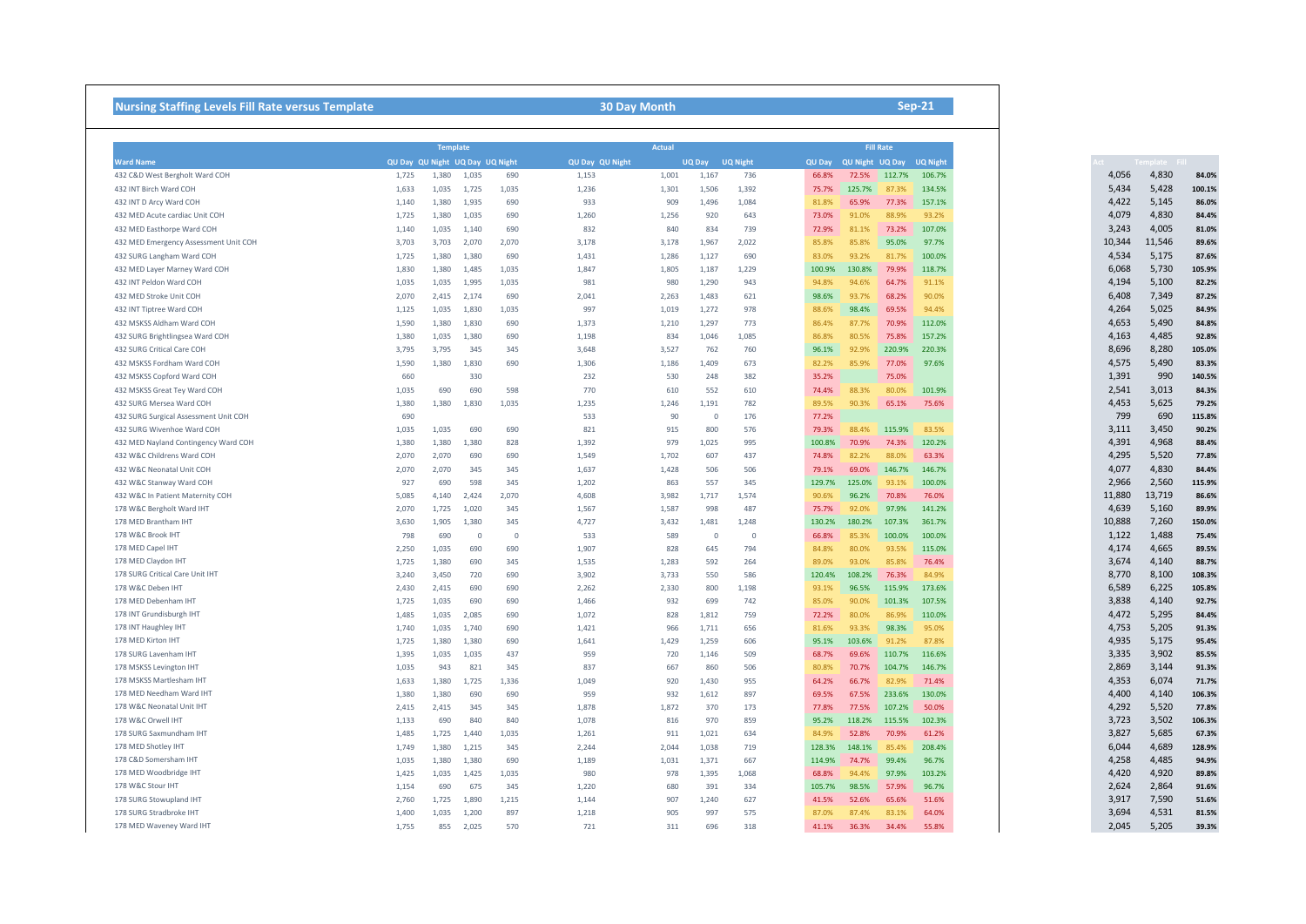| <b>Nursing Staffing Levels Fill Rate versus Template</b>           | <b>30 Day Month</b>                                |                |                |              |                |                                                               |                |              |                 | $Sep-21$                                            |                 |                 |  |  |  |  |
|--------------------------------------------------------------------|----------------------------------------------------|----------------|----------------|--------------|----------------|---------------------------------------------------------------|----------------|--------------|-----------------|-----------------------------------------------------|-----------------|-----------------|--|--|--|--|
|                                                                    |                                                    |                |                |              |                |                                                               |                |              |                 |                                                     |                 |                 |  |  |  |  |
| <b>Ward Name</b>                                                   | <b>Template</b><br>QU Day QU Night UQ Day UQ Night |                |                |              |                | <b>Actual</b><br>QU Day QU Night<br><b>UQ Night</b><br>UQ Day |                |              |                 | <b>Fill Rate</b><br>QU Day QU Night UQ Day UQ Night |                 |                 |  |  |  |  |
| 432 C&D West Bergholt Ward COH                                     | 1,725                                              | 1,380          | 1,035          | 690          | 1,153          | 1,001                                                         | 1,167          | 736          | 66.8%           | 72.5%                                               | 112.7%          | 106.7%          |  |  |  |  |
| 432 INT Birch Ward COH                                             | 1,633                                              | 1,035          | 1,725          | 1,035        | 1,236          | 1,301                                                         | 1,506          | 1,392        | 75.7%           | 125.7%                                              | 87.3%           | 134.5%          |  |  |  |  |
|                                                                    |                                                    |                | 1,935          |              | 933            | 909                                                           |                | 1,084        |                 |                                                     |                 |                 |  |  |  |  |
| 432 INT D Arcy Ward COH                                            | 1,140                                              | 1,380          | 1,035          | 690          |                |                                                               | 1,496          |              | 81.8%<br>73.0%  | 65.9%<br>91.0%                                      | 77.3%<br>88.9%  | 157.1%<br>93.2% |  |  |  |  |
| 432 MED Acute cardiac Unit COH                                     | 1,725                                              | 1,380          |                | 690          | 1,260          | 1,256                                                         | 920            | 643          |                 |                                                     |                 |                 |  |  |  |  |
| 432 MED Easthorpe Ward COH                                         | 1,140                                              | 1,035          | 1,140          | 690          | 832            | 840                                                           | 834            | 739          | 72.9%           | 81.1%                                               | 73.2%           | 107.0%          |  |  |  |  |
| 432 MED Emergency Assessment Unit COH                              | 3,703                                              | 3,703          | 2,070<br>1,380 | 2,070        | 3,178          | 3,178                                                         | 1,967          | 2,022        | 85.8%           | 85.8%<br>93.2%                                      | 95.0%<br>81.7%  | 97.7%           |  |  |  |  |
| 432 SURG Langham Ward COH                                          | 1,725                                              | 1,380          | 1,485          | 690          | 1,431<br>1,847 | 1,286                                                         | 1,127          | 690          | 83.0%           | 130.8%                                              | 79.9%           | 100.0%          |  |  |  |  |
| 432 MED Layer Marney Ward COH<br>432 INT Peldon Ward COH           | 1,830                                              | 1,380          | 1,995          | 1,035        | 981            | 1,805                                                         | 1,187          | 1,229<br>943 | 100.9%<br>94.8% | 94.6%                                               | 64.7%           | 118.7%<br>91.1% |  |  |  |  |
|                                                                    | 1,035                                              | 1,035          |                | 1,035        |                | 980                                                           | 1,290          | 621          | 98.6%           |                                                     |                 |                 |  |  |  |  |
| 432 MED Stroke Unit COH<br>432 INT Tiptree Ward COH                | 2,070<br>1,125                                     | 2,415<br>1,035 | 2,174<br>1,830 | 690<br>1,035 | 2,041<br>997   | 2,263<br>1,019                                                | 1,483<br>1,272 | 978          | 88.6%           | 93.7%<br>98.4%                                      | 68.2%<br>69.5%  | 90.0%<br>94.4%  |  |  |  |  |
| 432 MSKSS Aldham Ward COH                                          |                                                    |                | 1,830          | 690          | 1,373          |                                                               |                | 773          | 86.4%           | 87.7%                                               | 70.9%           | 112.0%          |  |  |  |  |
| 432 SURG Brightlingsea Ward COH                                    | 1,590<br>1,380                                     | 1,380<br>1,035 | 1,380          | 690          | 1,198          | 1,210<br>834                                                  | 1,297<br>1,046 | 1,085        | 86.8%           | 80.5%                                               | 75.8%           | 157.2%          |  |  |  |  |
| 432 SURG Critical Care COH                                         | 3,795                                              | 3,795          | 345            | 345          | 3.648          | 3,527                                                         | 762            | 760          | 96.1%           | 92.9%                                               | 220.9%          | 220.3%          |  |  |  |  |
|                                                                    |                                                    |                | 1,830          | 690          |                |                                                               | 1,409          | 673          | 82.2%           | 85.9%                                               | 77.0%           | 97.6%           |  |  |  |  |
| 432 MSKSS Fordham Ward COH<br>432 MSKSS Copford Ward COH           | 1,590<br>660                                       | 1,380          | 330            |              | 1,306<br>232   | 1,186<br>530                                                  | 248            | 382          | 35.2%           |                                                     | 75.0%           |                 |  |  |  |  |
|                                                                    | 1,035                                              | 690            | 690            | 598          | 770            | 610                                                           | 552            | 610          | 74.4%           | 88.3%                                               | 80.0%           | 101.9%          |  |  |  |  |
| 432 MSKSS Great Tey Ward COH<br>432 SURG Mersea Ward COH           | 1,380                                              | 1,380          | 1,830          | 1,035        | 1,235          | 1,246                                                         | 1,191          | 782          | 89.5%           | 90.3%                                               | 65.1%           | 75.6%           |  |  |  |  |
| 432 SURG Surgical Assessment Unit COH                              | 690                                                |                |                |              | 533            | 90                                                            | $\Omega$       | 176          | 77.2%           |                                                     |                 |                 |  |  |  |  |
|                                                                    |                                                    |                |                |              |                |                                                               |                |              |                 | 88.4%                                               |                 | 83.5%           |  |  |  |  |
| 432 SURG Wivenhoe Ward COH                                         | 1,035<br>1,380                                     | 1,035<br>1,380 | 690<br>1,380   | 690<br>828   | 821<br>1,392   | 915<br>979                                                    | 800<br>1,025   | 576<br>995   | 79.3%<br>100.8% | 70.9%                                               | 115.9%<br>74.3% | 120.2%          |  |  |  |  |
| 432 MED Nayland Contingency Ward COH<br>432 W&C Childrens Ward COH | 2,070                                              | 2,070          | 690            | 690          | 1,549          | 1,702                                                         | 607            | 437          | 74.8%           | 82.2%                                               | 88.0%           | 63.3%           |  |  |  |  |
| 432 W&C Neonatal Unit COH                                          | 2,070                                              | 2,070          | 345            | 345          | 1,637          | 1,428                                                         | 506            | 506          | 79.1%           | 69.0%                                               | 146.7%          | 146.7%          |  |  |  |  |
| 432 W&C Stanway Ward COH                                           | 927                                                | 690            | 598            | 345          | 1,202          | 863                                                           | 557            | 345          | 129.7%          | 125.0%                                              | 93.1%           | 100.0%          |  |  |  |  |
| 432 W&C In Patient Maternity COH                                   | 5,085                                              | 4,140          | 2,424          | 2,070        | 4,608          | 3,982                                                         | 1,717          | 1,574        | 90.6%           | 96.2%                                               | 70.8%           | 76.0%           |  |  |  |  |
| 178 W&C Bergholt Ward IHT                                          | 2,070                                              | 1,725          | 1,020          | 345          | 1,567          | 1,587                                                         | 998            | 487          | 75.7%           | 92.0%                                               | 97.9%           | 141.2%          |  |  |  |  |
| 178 MED Brantham IHT                                               | 3,630                                              | 1,905          | 1,380          | 345          | 4,727          | 3,432                                                         | 1,481          | 1,248        | 130.2%          | 180.2%                                              | 107.3%          | 361.7%          |  |  |  |  |
| 178 W&C Brook IHT                                                  | 798                                                | 690            | $\Omega$       | $\Omega$     | 533            | 589                                                           | $\Omega$       | $\Omega$     | 66.8%           | 85.3%                                               | 100.0%          | 100.0%          |  |  |  |  |
| 178 MED Capel IHT                                                  | 2,250                                              | 1,035          | 690            | 690          | 1.907          | 828                                                           | 645            | 794          | 84.8%           | 80.0%                                               | 93.5%           | 115.0%          |  |  |  |  |
| 178 MED Claydon IHT                                                | 1,725                                              | 1,380          | 690            | 345          | 1,535          | 1,283                                                         | 592            | 264          | 89.0%           | 93.0%                                               | 85.8%           | 76.4%           |  |  |  |  |
| 178 SURG Critical Care Unit IHT                                    | 3,240                                              | 3,450          | 720            | 690          | 3,902          | 3,733                                                         | 550            | 586          | 120.4%          | 108.2%                                              | 76.3%           | 84.9%           |  |  |  |  |
| 178 W&C Deben IHT                                                  | 2,430                                              | 2,415          | 690            | 690          | 2,262          | 2,330                                                         | 800            | 1,198        | 93.1%           | 96.5%                                               | 115.9%          | 173.6%          |  |  |  |  |
| 178 MED Debenham IHT                                               | 1,725                                              | 1,035          | 690            | 690          | 1,466          | 932                                                           | 699            | 742          | 85.0%           | 90.0%                                               | 101.3%          | 107.5%          |  |  |  |  |
| 178 INT Grundisburgh IHT                                           | 1,485                                              | 1,035          | 2,085          | 690          | 1,072          | 828                                                           | 1,812          | 759          | 72.2%           | 80.0%                                               | 86.9%           | 110.0%          |  |  |  |  |
| 178 INT Haughley IHT                                               | 1,740                                              | 1,035          | 1,740          | 690          | 1,421          | 966                                                           | 1,711          | 656          | 81.6%           | 93.3%                                               | 98.3%           | 95.0%           |  |  |  |  |
| 178 MED Kirton IHT                                                 | 1,725                                              | 1,380          | 1,380          | 690          | 1,641          | 1,429                                                         | 1,259          | 606          | 95.1%           | 103.6%                                              | 91.2%           | 87.8%           |  |  |  |  |
| 178 SURG Lavenham IHT                                              | 1,395                                              | 1,035          | 1,035          | 437          | 959            | 720                                                           | 1,146          | 509          | 68.7%           | 69.6%                                               | 110.7%          | 116.6%          |  |  |  |  |
| 178 MSKSS Levington IHT                                            | 1,035                                              | 943            | 821            | 345          | 837            | 667                                                           | 860            | 506          | 80.8%           | 70.7%                                               | 104.7%          | 146.7%          |  |  |  |  |
| 178 MSKSS Martlesham IHT                                           | 1,633                                              | 1,380          | 1,725          | 1,336        | 1,049          | 920                                                           | 1,430          | 955          | 64.2%           | 66.7%                                               | 82.9%           | 71.4%           |  |  |  |  |
| 178 MED Needham Ward IHT                                           | 1,380                                              | 1,380          | 690            | 690          | 959            | 932                                                           | 1,612          | 897          | 69.5%           | 67.5%                                               | 233.6%          | 130.0%          |  |  |  |  |
| 178 W&C Neonatal Unit IHT                                          | 2,415                                              | 2,415          | 345            | 345          | 1.878          | 1,872                                                         | 370            | 173          | 77.8%           | 77.5%                                               | 107.2%          | 50.0%           |  |  |  |  |
| 178 W&C Orwell IHT                                                 | 1,133                                              | 690            | 840            | 840          | 1,078          | 816                                                           | 970            | 859          | 95.2%           | 118.2%                                              | 115.5%          | 102.3%          |  |  |  |  |
| 178 SURG Saxmundham IHT                                            | 1,485                                              | 1,725          | 1,440          | 1,035        | 1,261          | 911                                                           | 1,021          | 634          | 84.9%           | 52.8%                                               | 70.9%           | 61.2%           |  |  |  |  |
| 178 MED Shotley IHT                                                | 1.749                                              | 1.380          | 1.215          | 345          | 2.244          | 2.044                                                         | 1.038          | 719          | 128.3%          | 148.1%                                              | 85.4%           | 208.4%          |  |  |  |  |
| 178 C&D Somersham IHT                                              | 1,035                                              | 1,380          | 1,380          | 690          | 1,189          | 1,031                                                         | 1,371          | 667          | 114.9%          | 74.7%                                               | 99.4%           | 96.7%           |  |  |  |  |
| 178 MED Woodbridge IHT                                             | 1,425                                              | 1,035          | 1,425          | 1,035        | 980            | 978                                                           | 1,395          | 1,068        | 68.8%           | 94.4%                                               | 97.9%           | 103.2%          |  |  |  |  |
| 178 W&C Stour IHT                                                  | 1,154                                              | 690            | 675            | 345          | 1,220          | 680                                                           | 391            | 334          | 105.7%          | 98.5%                                               | 57.9%           | 96.7%           |  |  |  |  |
| 178 SURG Stowupland IHT                                            | 2,760                                              | 1.725          | 1,890          | 1,215        | 1,144          | 907                                                           | 1,240          | 627          | 41.5%           | 52.6%                                               | 65.6%           | 51.6%           |  |  |  |  |
| 178 SURG Stradbroke IHT                                            | 1,400                                              | 1,035          | 1,200          | 897          | 1,218          | 905                                                           | 997            | 575          | 87.0%           | 87.4%                                               | 83.1%           | 64.0%           |  |  |  |  |
| 178 MED Waveney Ward IHT                                           | 1.755                                              | 855            | 2.025          | 570          | 721            | 311                                                           | 696            | 318          | 41.1%           | 36.3%                                               | 34.4%           | 55.8%           |  |  |  |  |
|                                                                    |                                                    |                |                |              |                |                                                               |                |              |                 |                                                     |                 |                 |  |  |  |  |